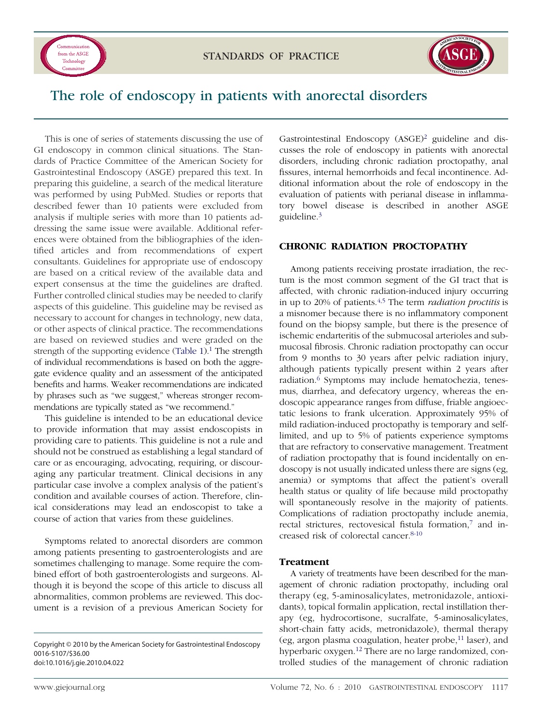



# The role of endoscopy in patients with anorectal disorders

This is one of series of statements discussing the use of GI endoscopy in common clinical situations. The Standards of Practice Committee of the American Society for Gastrointestinal Endoscopy (ASGE) prepared this text. In preparing this guideline, a search of the medical literature was performed by using PubMed. Studies or reports that described fewer than 10 patients were excluded from analysis if multiple series with more than 10 patients addressing the same issue were available. Additional references were obtained from the bibliographies of the identified articles and from recommendations of expert consultants. Guidelines for appropriate use of endoscopy are based on a critical review of the available data and expert consensus at the time the guidelines are drafted. Further controlled clinical studies may be needed to clarify aspects of this guideline. This guideline may be revised as necessary to account for changes in technology, new data, or other aspects of clinical practice. The recommendations are based on reviewed studies and were graded on the strength of the supporting evidence [\(Table 1\)](#page-1-0).<sup>1</sup> The strength of individual recommendations is based on both the aggregate evidence quality and an assessment of the anticipated benefits and harms. Weaker recommendations are indicated by phrases such as "we suggest," whereas stronger recommendations are typically stated as "we recommend."

This guideline is intended to be an educational device to provide information that may assist endoscopists in providing care to patients. This guideline is not a rule and should not be construed as establishing a legal standard of care or as encouraging, advocating, requiring, or discouraging any particular treatment. Clinical decisions in any particular case involve a complex analysis of the patient's condition and available courses of action. Therefore, clinical considerations may lead an endoscopist to take a course of action that varies from these guidelines.

Symptoms related to anorectal disorders are common among patients presenting to gastroenterologists and are sometimes challenging to manage. Some require the combined effort of both gastroenterologists and surgeons. Although it is beyond the scope of this article to discuss all abnormalities, common problems are reviewed. This document is a revision of a previous American Society for

Gastrointestinal Endoscopy (ASGE)<sup>2</sup> guideline and discusses the role of endoscopy in patients with anorectal disorders, including chronic radiation proctopathy, anal fissures, internal hemorrhoids and fecal incontinence. Additional information about the role of endoscopy in the evaluation of patients with perianal disease in inflammatory bowel disease is described in another ASGE guideline[.3](#page-4-0)

#### **CHRONIC RADIATION PROCTOPATHY**

Among patients receiving prostate irradiation, the rectum is the most common segment of the GI tract that is affected, with chronic radiation-induced injury occurring in up to 20% of patients[.4,5](#page-4-0) The term *radiation proctitis* is a misnomer because there is no inflammatory component found on the biopsy sample, but there is the presence of ischemic endarteritis of the submucosal arterioles and submucosal fibrosis. Chronic radiation proctopathy can occur from 9 months to 30 years after pelvic radiation injury, although patients typically present within 2 years after radiation.<sup>6</sup> Symptoms may include hematochezia, tenesmus, diarrhea, and defecatory urgency, whereas the endoscopic appearance ranges from diffuse, friable angioectatic lesions to frank ulceration. Approximately 95% of mild radiation-induced proctopathy is temporary and selflimited, and up to 5% of patients experience symptoms that are refractory to conservative management. Treatment of radiation proctopathy that is found incidentally on endoscopy is not usually indicated unless there are signs (eg, anemia) or symptoms that affect the patient's overall health status or quality of life because mild proctopathy will spontaneously resolve in the majority of patients. Complications of radiation proctopathy include anemia, rectal strictures, rectovesical fistula formation,<sup>7</sup> and increased risk of colorectal cancer[.8-10](#page-4-0)

#### **Treatment**

A variety of treatments have been described for the management of chronic radiation proctopathy, including oral therapy (eg, 5-aminosalicylates, metronidazole, antioxidants), topical formalin application, rectal instillation therapy (eg, hydrocortisone, sucralfate, 5-aminosalicylates, short-chain fatty acids, metronidazole), thermal therapy (eg, argon plasma coagulation, heater probe,<sup>11</sup> laser), and hyperbaric oxygen.<sup>12</sup> There are no large randomized, controlled studies of the management of chronic radiation

Copyright © 2010 by the American Society for Gastrointestinal Endoscopy 0016-5107/\$36.00 doi:10.1016/j.gie.2010.04.022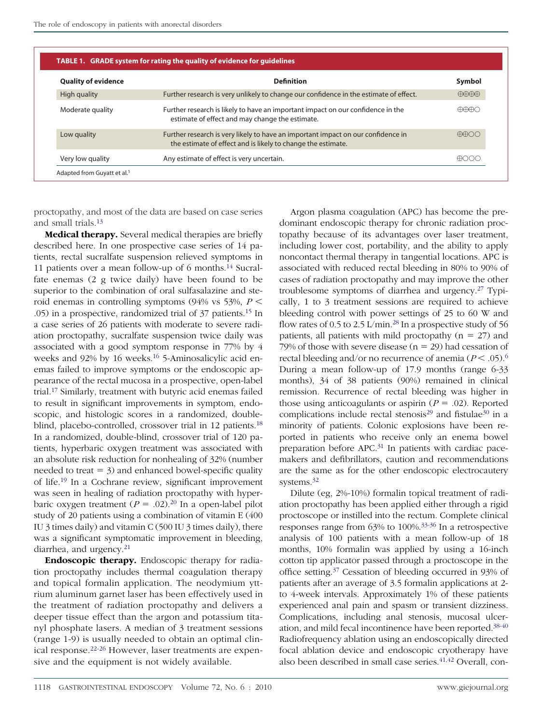<span id="page-1-0"></span>

| <b>Quality of evidence</b> | <b>Definition</b>                                                                                                                                | Symbol                                    |
|----------------------------|--------------------------------------------------------------------------------------------------------------------------------------------------|-------------------------------------------|
| High quality               | Further research is very unlikely to change our confidence in the estimate of effect.                                                            | $\bigoplus \bigoplus \bigoplus \bigoplus$ |
| Moderate quality           | Further research is likely to have an important impact on our confidence in the<br>estimate of effect and may change the estimate.               | <del>MMA</del> C                          |
| Low quality                | Further research is very likely to have an important impact on our confidence in<br>the estimate of effect and is likely to change the estimate. | <del>NA</del> NO                          |
| Very low quality           | Any estimate of effect is very uncertain.                                                                                                        | ക്കററ                                     |

proctopathy, and most of the data are based on case series and small trials[.13](#page-4-0)

**Medical therapy.** Several medical therapies are briefly described here. In one prospective case series of 14 patients, rectal sucralfate suspension relieved symptoms in 11 patients over a mean follow-up of 6 months[.14](#page-4-0) Sucralfate enemas (2 g twice daily) have been found to be superior to the combination of oral sulfasalazine and steroid enemas in controlling symptoms  $(94\% \text{ vs } 53\%, P \leq$ .05) in a prospective, randomized trial of 37 patients[.15](#page-4-0) In a case series of 26 patients with moderate to severe radiation proctopathy, sucralfate suspension twice daily was associated with a good symptom response in 77% by 4 weeks and 92% by 16 weeks.<sup>16</sup> 5-Aminosalicylic acid enemas failed to improve symptoms or the endoscopic appearance of the rectal mucosa in a prospective, open-label trial[.17](#page-4-0) Similarly, treatment with butyric acid enemas failed to result in significant improvements in symptom, endoscopic, and histologic scores in a randomized, doubleblind, placebo-controlled, crossover trial in 12 patients.<sup>18</sup> In a randomized, double-blind, crossover trial of 120 patients, hyperbaric oxygen treatment was associated with an absolute risk reduction for nonhealing of 32% (number needed to treat  $= 3$ ) and enhanced bowel-specific quality of life[.19](#page-4-0) In a Cochrane review, significant improvement was seen in healing of radiation proctopathy with hyperbaric oxygen treatment  $(P = .02).^{20}$  In a open-label pilot study of 20 patients using a combination of vitamin E (400 IU 3 times daily) and vitamin C (500 IU 3 times daily), there was a significant symptomatic improvement in bleeding, diarrhea, and urgency.<sup>21</sup>

**Endoscopic therapy.** Endoscopic therapy for radiation proctopathy includes thermal coagulation therapy and topical formalin application. The neodymium yttrium aluminum garnet laser has been effectively used in the treatment of radiation proctopathy and delivers a deeper tissue effect than the argon and potassium titanyl phosphate lasers. A median of 3 treatment sessions (range 1-9) is usually needed to obtain an optimal clinical response[.22-26](#page-4-0) However, laser treatments are expensive and the equipment is not widely available.

Argon plasma coagulation (APC) has become the predominant endoscopic therapy for chronic radiation proctopathy because of its advantages over laser treatment, including lower cost, portability, and the ability to apply noncontact thermal therapy in tangential locations. APC is associated with reduced rectal bleeding in 80% to 90% of cases of radiation proctopathy and may improve the other troublesome symptoms of diarrhea and urgency[.27](#page-5-0) Typically, 1 to 3 treatment sessions are required to achieve bleeding control with power settings of 25 to 60 W and flow rates of 0.5 to 2.5 L/min.<sup>28</sup> In a prospective study of 56 patients, all patients with mild proctopathy  $(n = 27)$  and 79% of those with severe disease  $(n = 29)$  had cessation of rectal bleeding and/or no recurrence of anemia ( $P < .05$ ).<sup>6</sup> During a mean follow-up of 17.9 months (range 6-33 months), 34 of 38 patients (90%) remained in clinical remission. Recurrence of rectal bleeding was higher in those using anticoagulants or aspirin  $(P = .02)$ . Reported complications include rectal stenosis<sup>29</sup> and fistulae<sup>30</sup> in a minority of patients. Colonic explosions have been reported in patients who receive only an enema bowel preparation before APC[.31](#page-5-0) In patients with cardiac pacemakers and defibrillators, caution and recommendations are the same as for the other endoscopic electrocautery systems.<sup>32</sup>

Dilute (eg, 2%-10%) formalin topical treatment of radiation proctopathy has been applied either through a rigid proctoscope or instilled into the rectum. Complete clinical responses range from 63% to 100%[.33-36](#page-5-0) In a retrospective analysis of 100 patients with a mean follow-up of 18 months, 10% formalin was applied by using a 16-inch cotton tip applicator passed through a proctoscope in the office setting[.37](#page-5-0) Cessation of bleeding occurred in 93% of patients after an average of 3.5 formalin applications at 2 to 4-week intervals. Approximately 1% of these patients experienced anal pain and spasm or transient dizziness. Complications, including anal stenosis, mucosal ulceration, and mild fecal incontinence have been reported[.38-40](#page-5-0) Radiofrequency ablation using an endoscopically directed focal ablation device and endoscopic cryotherapy have also been described in small case series.<sup>41,42</sup> Overall, con-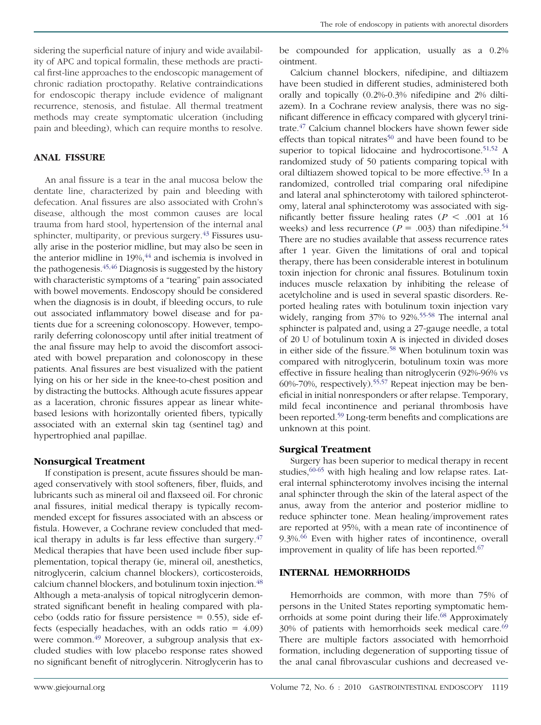sidering the superficial nature of injury and wide availability of APC and topical formalin, these methods are practical first-line approaches to the endoscopic management of chronic radiation proctopathy. Relative contraindications for endoscopic therapy include evidence of malignant recurrence, stenosis, and fistulae. All thermal treatment methods may create symptomatic ulceration (including pain and bleeding), which can require months to resolve.

# **ANAL FISSURE**

An anal fissure is a tear in the anal mucosa below the dentate line, characterized by pain and bleeding with defecation. Anal fissures are also associated with Crohn's disease, although the most common causes are local trauma from hard stool, hypertension of the internal anal sphincter, multiparity, or previous surgery.<sup>43</sup> Fissures usually arise in the posterior midline, but may also be seen in the anterior midline in 19%,<sup>44</sup> and ischemia is involved in the pathogenesis[.45,46](#page-5-0) Diagnosis is suggested by the history with characteristic symptoms of a "tearing" pain associated with bowel movements. Endoscopy should be considered when the diagnosis is in doubt, if bleeding occurs, to rule out associated inflammatory bowel disease and for patients due for a screening colonoscopy. However, temporarily deferring colonoscopy until after initial treatment of the anal fissure may help to avoid the discomfort associated with bowel preparation and colonoscopy in these patients. Anal fissures are best visualized with the patient lying on his or her side in the knee-to-chest position and by distracting the buttocks. Although acute fissures appear as a laceration, chronic fissures appear as linear whitebased lesions with horizontally oriented fibers, typically associated with an external skin tag (sentinel tag) and hypertrophied anal papillae.

# **Nonsurgical Treatment**

If constipation is present, acute fissures should be managed conservatively with stool softeners, fiber, fluids, and lubricants such as mineral oil and flaxseed oil. For chronic anal fissures, initial medical therapy is typically recommended except for fissures associated with an abscess or fistula. However, a Cochrane review concluded that medical therapy in adults is far less effective than surgery. $47$ Medical therapies that have been used include fiber supplementation, topical therapy (ie, mineral oil, anesthetics, nitroglycerin, calcium channel blockers), corticosteroids, calcium channel blockers, and botulinum toxin injection[.48](#page-5-0) Although a meta-analysis of topical nitroglycerin demonstrated significant benefit in healing compared with pla $cebo$  (odds ratio for fissure persistence = 0.55), side effects (especially headaches, with an odds ratio  $=$  4.09) were common.<sup>49</sup> Moreover, a subgroup analysis that excluded studies with low placebo response rates showed no significant benefit of nitroglycerin. Nitroglycerin has to be compounded for application, usually as a 0.2% ointment.

Calcium channel blockers, nifedipine, and diltiazem have been studied in different studies, administered both orally and topically (0.2%-0.3% nifedipine and 2% diltiazem). In a Cochrane review analysis, there was no significant difference in efficacy compared with glyceryl trinitrate[.47](#page-5-0) Calcium channel blockers have shown fewer side effects than topical nitrates<sup>50</sup> and have been found to be superior to topical lidocaine and hydrocortisone.<sup>51,52</sup> A randomized study of 50 patients comparing topical with oral diltiazem showed topical to be more effective.<sup>53</sup> In a randomized, controlled trial comparing oral nifedipine and lateral anal sphincterotomy with tailored sphincterotomy, lateral anal sphincterotomy was associated with significantly better fissure healing rates ( $P < .001$  at 16 weeks) and less recurrence ( $P = .003$ ) than nifedipine.<sup>54</sup> There are no studies available that assess recurrence rates after 1 year. Given the limitations of oral and topical therapy, there has been considerable interest in botulinum toxin injection for chronic anal fissures. Botulinum toxin induces muscle relaxation by inhibiting the release of acetylcholine and is used in several spastic disorders. Reported healing rates with botulinum toxin injection vary widely, ranging from 37% to 92%[.55-58](#page-5-0) The internal anal sphincter is palpated and, using a 27-gauge needle, a total of 20 U of botulinum toxin A is injected in divided doses in either side of the fissure.<sup>58</sup> When botulinum toxin was compared with nitroglycerin, botulinum toxin was more effective in fissure healing than nitroglycerin (92%-96% vs 60%-70%, respectively)[.55,57](#page-5-0) Repeat injection may be beneficial in initial nonresponders or after relapse. Temporary, mild fecal incontinence and perianal thrombosis have been reported[.59](#page-5-0) Long-term benefits and complications are unknown at this point.

# **Surgical Treatment**

Surgery has been superior to medical therapy in recent studies, <sup>60-65</sup> with high healing and low relapse rates. Lateral internal sphincterotomy involves incising the internal anal sphincter through the skin of the lateral aspect of the anus, away from the anterior and posterior midline to reduce sphincter tone. Mean healing/improvement rates are reported at 95%, with a mean rate of incontinence of 9.3%.<sup>66</sup> Even with higher rates of incontinence, overall improvement in quality of life has been reported.<sup>67</sup>

#### **INTERNAL HEMORRHOIDS**

Hemorrhoids are common, with more than 75% of persons in the United States reporting symptomatic hemorrhoids at some point during their life.<sup>68</sup> Approximately 30% of patients with hemorrhoids seek medical care.<sup>69</sup> There are multiple factors associated with hemorrhoid formation, including degeneration of supporting tissue of the anal canal fibrovascular cushions and decreased ve-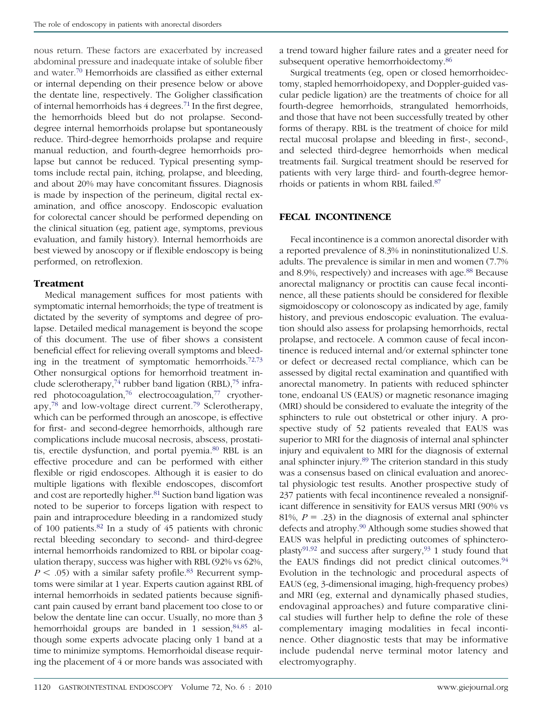nous return. These factors are exacerbated by increased abdominal pressure and inadequate intake of soluble fiber and water[.70](#page-5-0) Hemorrhoids are classified as either external or internal depending on their presence below or above the dentate line, respectively. The Goligher classification of internal hemorrhoids has 4 degrees[.71](#page-5-0) In the first degree, the hemorrhoids bleed but do not prolapse. Seconddegree internal hemorrhoids prolapse but spontaneously reduce. Third-degree hemorrhoids prolapse and require manual reduction, and fourth-degree hemorrhoids prolapse but cannot be reduced. Typical presenting symptoms include rectal pain, itching, prolapse, and bleeding, and about 20% may have concomitant fissures. Diagnosis is made by inspection of the perineum, digital rectal examination, and office anoscopy. Endoscopic evaluation for colorectal cancer should be performed depending on the clinical situation (eg, patient age, symptoms, previous evaluation, and family history). Internal hemorrhoids are best viewed by anoscopy or if flexible endoscopy is being performed, on retroflexion.

# **Treatment**

Medical management suffices for most patients with symptomatic internal hemorrhoids; the type of treatment is dictated by the severity of symptoms and degree of prolapse. Detailed medical management is beyond the scope of this document. The use of fiber shows a consistent beneficial effect for relieving overall symptoms and bleeding in the treatment of symptomatic hemorrhoids. $72,73$ Other nonsurgical options for hemorrhoid treatment include sclerotherapy,<sup>74</sup> rubber band ligation (RBL),<sup>75</sup> infrared photocoagulation[,76](#page-6-0) electrocoagulation[,77](#page-6-0) cryotherapy[,78](#page-6-0) and low-voltage direct current[.79](#page-6-0) Sclerotherapy, which can be performed through an anoscope, is effective for first- and second-degree hemorrhoids, although rare complications include mucosal necrosis, abscess, prostatitis, erectile dysfunction, and portal pyemia[.80](#page-6-0) RBL is an effective procedure and can be performed with either flexible or rigid endoscopes. Although it is easier to do multiple ligations with flexible endoscopes, discomfort and cost are reportedly higher.<sup>81</sup> Suction band ligation was noted to be superior to forceps ligation with respect to pain and intraprocedure bleeding in a randomized study of 100 patients[.82](#page-6-0) In a study of 45 patients with chronic rectal bleeding secondary to second- and third-degree internal hemorrhoids randomized to RBL or bipolar coagulation therapy, success was higher with RBL (92% vs 62%,  $P \leq .05$ ) with a similar safety profile.<sup>83</sup> Recurrent symptoms were similar at 1 year. Experts caution against RBL of internal hemorrhoids in sedated patients because significant pain caused by errant band placement too close to or below the dentate line can occur. Usually, no more than 3 hemorrhoidal groups are banded in 1 session,  $84,85$  although some experts advocate placing only 1 band at a time to minimize symptoms. Hemorrhoidal disease requiring the placement of 4 or more bands was associated with

a trend toward higher failure rates and a greater need for subsequent operative hemorrhoidectomy.<sup>86</sup>

Surgical treatments (eg, open or closed hemorrhoidectomy, stapled hemorrhoidopexy, and Doppler-guided vascular pedicle ligation) are the treatments of choice for all fourth-degree hemorrhoids, strangulated hemorrhoids, and those that have not been successfully treated by other forms of therapy. RBL is the treatment of choice for mild rectal mucosal prolapse and bleeding in first-, second-, and selected third-degree hemorrhoids when medical treatments fail. Surgical treatment should be reserved for patients with very large third- and fourth-degree hemorrhoids or patients in whom RBL failed[.87](#page-6-0)

### **FECAL INCONTINENCE**

Fecal incontinence is a common anorectal disorder with a reported prevalence of 8.3% in noninstitutionalized U.S. adults. The prevalence is similar in men and women (7.7% and 8.9%, respectively) and increases with age.<sup>88</sup> Because anorectal malignancy or proctitis can cause fecal incontinence, all these patients should be considered for flexible sigmoidoscopy or colonoscopy as indicated by age, family history, and previous endoscopic evaluation. The evaluation should also assess for prolapsing hemorrhoids, rectal prolapse, and rectocele. A common cause of fecal incontinence is reduced internal and/or external sphincter tone or defect or decreased rectal compliance, which can be assessed by digital rectal examination and quantified with anorectal manometry. In patients with reduced sphincter tone, endoanal US (EAUS) or magnetic resonance imaging (MRI) should be considered to evaluate the integrity of the sphincters to rule out obstetrical or other injury. A prospective study of 52 patients revealed that EAUS was superior to MRI for the diagnosis of internal anal sphincter injury and equivalent to MRI for the diagnosis of external anal sphincter injury.<sup>89</sup> The criterion standard in this study was a consensus based on clinical evaluation and anorectal physiologic test results. Another prospective study of 237 patients with fecal incontinence revealed a nonsignificant difference in sensitivity for EAUS versus MRI (90% vs 81%,  $P = .23$ ) in the diagnosis of external anal sphincter defects and atrophy.<sup>90</sup> Although some studies showed that EAUS was helpful in predicting outcomes of sphincteroplasty $91,92$  and success after surgery,  $93$  1 study found that the EAUS findings did not predict clinical outcomes.<sup>94</sup> Evolution in the technologic and procedural aspects of EAUS (eg, 3-dimensional imaging, high-frequency probes) and MRI (eg, external and dynamically phased studies, endovaginal approaches) and future comparative clinical studies will further help to define the role of these complementary imaging modalities in fecal incontinence. Other diagnostic tests that may be informative include pudendal nerve terminal motor latency and electromyography.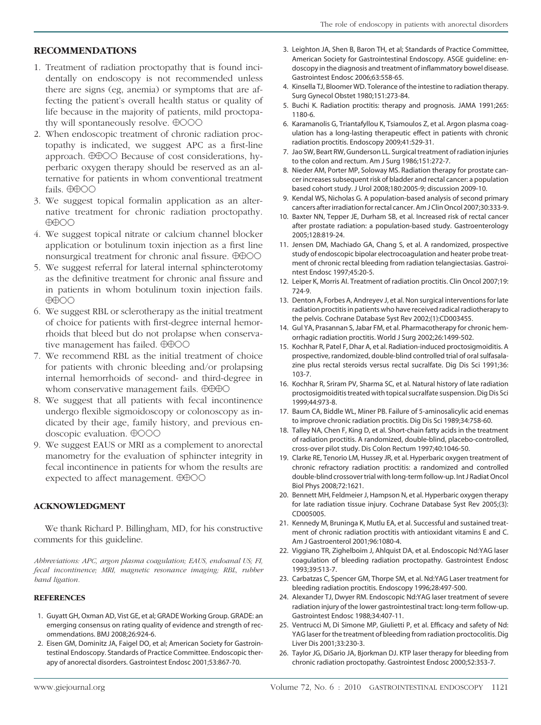### <span id="page-4-0"></span>**RECOMMENDATIONS**

- 1. Treatment of radiation proctopathy that is found incidentally on endoscopy is not recommended unless there are signs (eg, anemia) or symptoms that are affecting the patient's overall health status or quality of life because in the majority of patients, mild proctopathy will spontaneously resolve.  $\oplus$  000
- 2. When endoscopic treatment of chronic radiation proctopathy is indicated, we suggest APC as a first-line approach.  $\Theta$  $\Theta$  $\odot$  Because of cost considerations, hyperbaric oxygen therapy should be reserved as an alternative for patients in whom conventional treatment fails.  $\oplus \oplus \odot \odot$
- 3. We suggest topical formalin application as an alternative treatment for chronic radiation proctopathy.  $\bigoplus$
- 4. We suggest topical nitrate or calcium channel blocker application or botulinum toxin injection as a first line nonsurgical treatment for chronic anal fissure.  $\Theta\Theta$  $\text{OO}$
- 5. We suggest referral for lateral internal sphincterotomy as the definitive treatment for chronic anal fissure and in patients in whom botulinum toxin injection fails.  $\bigoplus$
- 6. We suggest RBL or sclerotherapy as the initial treatment of choice for patients with first-degree internal hemorrhoids that bleed but do not prolapse when conservative management has failed.  $\oplus \oplus \odot \odot$
- 7. We recommend RBL as the initial treatment of choice for patients with chronic bleeding and/or prolapsing internal hemorrhoids of second- and third-degree in whom conservative management fails.  $\Theta$ OO
- 8. We suggest that all patients with fecal incontinence undergo flexible sigmoidoscopy or colonoscopy as indicated by their age, family history, and previous endoscopic evaluation.  $\oplus$ OOO
- 9. We suggest EAUS or MRI as a complement to anorectal manometry for the evaluation of sphincter integrity in fecal incontinence in patients for whom the results are expected to affect management.  $\oplus \oplus \odot \odot$

#### **ACKNOWLEDGMENT**

We thank Richard P. Billingham, MD, for his constructive comments for this guideline.

*Abbreviations: APC, argon plasma coagulation; EAUS, endoanal US; FI, fecal incontinence; MRI, magnetic resonance imaging; RBL, rubber band ligation.*

#### **REFERENCES**

- 1. Guyatt GH, Oxman AD, Vist GE, et al; GRADE Working Group. GRADE: an emerging consensus on rating quality of evidence and strength of recommendations. BMJ 2008;26:924-6.
- 2. Eisen GM, Dominitz JA, Faigel DO, et al; American Society for Gastrointestinal Endoscopy. Standards of Practice Committee. Endoscopic therapy of anorectal disorders. Gastrointest Endosc 2001;53:867-70.
- 3. Leighton JA, Shen B, Baron TH, et al; Standards of Practice Committee, American Society for Gastrointestinal Endoscopy. ASGE guideline: endoscopy in the diagnosis and treatment of inflammatory bowel disease. Gastrointest Endosc 2006;63:558-65.
- 4. Kinsella TJ, Bloomer WD. Tolerance of the intestine to radiation therapy. Surg Gynecol Obstet 1980;151:273-84.
- 5. Buchi K. Radiation proctitis: therapy and prognosis. JAMA 1991;265: 1180-6.
- 6. Karamanolis G, Triantafyllou K, Tsiamoulos Z, et al. Argon plasma coagulation has a long-lasting therapeutic effect in patients with chronic radiation proctitis. Endoscopy 2009;41:529-31.
- 7. Jao SW, Beart RW, Gunderson LL. Surgical treatment of radiation injuries to the colon and rectum. Am J Surg 1986;151:272-7.
- 8. Nieder AM, Porter MP, Soloway MS. Radiation therapy for prostate cancer increases subsequent risk of bladder and rectal cancer: a population based cohort study. J Urol 2008;180:2005-9; discussion 2009-10.
- 9. Kendal WS, Nicholas G. A population-based analysis of second primary cancers after irradiation for rectal cancer. Am J Clin Oncol 2007;30:333-9.
- 10. Baxter NN, Tepper JE, Durham SB, et al. Increased risk of rectal cancer after prostate radiation: a population-based study. Gastroenterology 2005;128:819-24.
- 11. Jensen DM, Machiado GA, Chang S, et al. A randomized, prospective study of endoscopic bipolar electrocoagulation and heater probe treatment of chronic rectal bleeding from radiation telangiectasias. Gastrointest Endosc 1997;45:20-5.
- 12. Leiper K, Morris AI. Treatment of radiation proctitis. Clin Oncol 2007;19: 724-9.
- 13. Denton A, Forbes A, Andreyev J, et al. Non surgical interventions for late radiation proctitis in patients who have received radical radiotherapy to the pelvis. Cochrane Database Syst Rev 2002;(1):CD003455.
- 14. Gul YA, Prasannan S, Jabar FM, et al. Pharmacotherapy for chronic hemorrhagic radiation proctitis. World J Surg 2002;26:1499-502.
- 15. Kochhar R, Patel F, Dhar A, et al. Radiation-induced proctosigmoiditis. A prospective, randomized, double-blind controlled trial of oral sulfasalazine plus rectal steroids versus rectal sucralfate. Dig Dis Sci 1991;36: 103-7.
- 16. Kochhar R, Sriram PV, Sharma SC, et al. Natural history of late radiation proctosigmoiditis treated with topical sucralfate suspension. Dig Dis Sci 1999;44:973-8.
- 17. Baum CA, Biddle WL, Miner PB. Failure of 5-aminosalicylic acid enemas to improve chronic radiation proctitis. Dig Dis Sci 1989;34:758-60.
- 18. Talley NA, Chen F, King D, et al. Short-chain fatty acids in the treatment of radiation proctitis. A randomized, double-blind, placebo-controlled, cross-over pilot study. Dis Colon Rectum 1997;40:1046-50.
- 19. Clarke RE, Tenorio LM, Hussey JR, et al. Hyperbaric oxygen treatment of chronic refractory radiation proctitis: a randomized and controlled double-blind crossover trial with long-term follow-up. Int J Radiat Oncol Biol Phys 2008;72:1621.
- 20. Bennett MH, Feldmeier J, Hampson N, et al. Hyperbaric oxygen therapy for late radiation tissue injury. Cochrane Database Syst Rev 2005;(3): CD005005.
- 21. Kennedy M, Bruninga K, Mutlu EA, et al. Successful and sustained treatment of chronic radiation proctitis with antioxidant vitamins E and C. Am J Gastroenterol 2001;96:1080-4.
- 22. Viggiano TR, Zighelboim J, Ahlquist DA, et al. Endoscopic Nd:YAG laser coagulation of bleeding radiation proctopathy. Gastrointest Endosc 1993;39:513-7.
- 23. Carbatzas C, Spencer GM, Thorpe SM, et al. Nd:YAG Laser treatment for bleeding radiation proctitis. Endoscopy 1996;28:497-500.
- 24. Alexander TJ, Dwyer RM. Endoscopic Nd:YAG laser treatment of severe radiation injury of the lower gastrointestinal tract: long-term follow-up. Gastrointest Endosc 1988;34:407-11.
- 25. Ventrucci M, Di Simone MP, Giulietti P, et al. Efficacy and safety of Nd: YAG laser for the treatment of bleeding from radiation proctocolitis. Dig Liver Dis 2001;33:230-3.
- 26. Taylor JG, DiSario JA, Bjorkman DJ. KTP laser therapy for bleeding from chronic radiation proctopathy. Gastrointest Endosc 2000;52:353-7.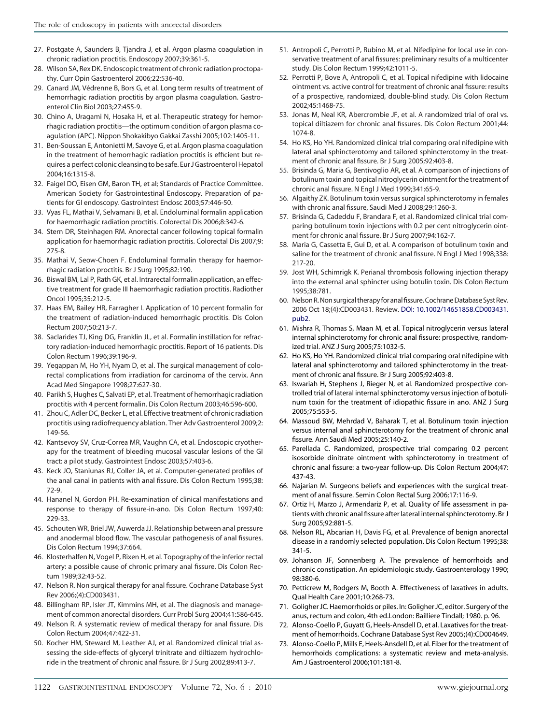- <span id="page-5-0"></span>27. Postgate A, Saunders B, Tjandra J, et al. Argon plasma coagulation in chronic radiation proctitis. Endoscopy 2007;39:361-5.
- 28. Wilson SA, Rex DK. Endoscopic treatment of chronic radiation proctopathy. Curr Opin Gastroenterol 2006;22:536-40.
- 29. Canard JM, Védrenne B, Bors G, et al. Long term results of treatment of hemorrhagic radiation proctitis by argon plasma coagulation. Gastroenterol Clin Biol 2003;27:455-9.
- 30. Chino A, Uragami N, Hosaka H, et al. Therapeutic strategy for hemorrhagic radiation proctitis—the optimum condition of argon plasma coagulation (APC). Nippon Shokakibyo Gakkai Zasshi 2005;102:1405-11.
- 31. Ben-Soussan E, Antonietti M, Savoye G, et al. Argon plasma coagulation in the treatment of hemorrhagic radiation proctitis is efficient but requires a perfect colonic cleansing to be safe. Eur J Gastroenterol Hepatol 2004;16:1315-8.
- 32. Faigel DO, Eisen GM, Baron TH, et al; Standards of Practice Committee. American Society for Gastrointestinal Endoscopy. Preparation of patients for GI endoscopy. Gastrointest Endosc 2003;57:446-50.
- 33. Vyas FL, Mathai V, Selvamani B, et al. Endoluminal formalin application for haemorrhagic radiation proctitis. Colorectal Dis 2006;8:342-6.
- 34. Stern DR, Steinhagen RM. Anorectal cancer following topical formalin application for haemorrhagic radiation proctitis. Colorectal Dis 2007;9: 275-8.
- 35. Mathai V, Seow-Choen F. Endoluminal formalin therapy for haemorrhagic radiation proctitis. Br J Surg 1995;82:190.
- 36. Biswal BM, Lal P, Rath GK, et al. Intrarectal formalin application, an effective treatment for grade III haemorrhagic radiation proctitis. Radiother Oncol 1995;35:212-5.
- 37. Haas EM, Bailey HR, Farragher I. Application of 10 percent formalin for the treatment of radiation-induced hemorrhagic proctitis. Dis Colon Rectum 2007;50:213-7.
- 38. Saclarides TJ, King DG, Franklin JL, et al. Formalin instillation for refractory radiation-induced hemorrhagic proctitis. Report of 16 patients. Dis Colon Rectum 1996;39:196-9.
- 39. Yegappan M, Ho YH, Nyam D, et al. The surgical management of colorectal complications from irradiation for carcinoma of the cervix. Ann Acad Med Singapore 1998;27:627-30.
- 40. Parikh S, Hughes C, Salvati EP, et al. Treatment of hemorrhagic radiation proctitis with 4 percent formalin. Dis Colon Rectum 2003;46:596-600.
- 41. Zhou C, Adler DC, Becker L, et al. Effective treatment of chronic radiation proctitis using radiofrequency ablation. Ther Adv Gastroenterol 2009;2: 149-56.
- 42. Kantsevoy SV, Cruz-Correa MR, Vaughn CA, et al. Endoscopic cryotherapy for the treatment of bleeding mucosal vascular lesions of the GI tract: a pilot study. Gastrointest Endosc 2003;57:403-6.
- 43. Keck JO, Staniunas RJ, Coller JA, et al. Computer-generated profiles of the anal canal in patients with anal fissure. Dis Colon Rectum 1995;38: 72-9.
- 44. Hananel N, Gordon PH. Re-examination of clinical manifestations and response to therapy of fissure-in-ano. Dis Colon Rectum 1997;40: 229-33.
- 45. Schouten WR, Briel JW, Auwerda JJ. Relationship between anal pressure and anodermal blood flow. The vascular pathogenesis of anal fissures. Dis Colon Rectum 1994;37:664.
- 46. Klosterhalfen N, Vogel P, Rixen H, et al. Topography of the inferior rectal artery: a possible cause of chronic primary anal fissure. Dis Colon Rectum 1989;32:43-52.
- 47. Nelson R. Non surgical therapy for anal fissure. Cochrane Database Syst Rev 2006;(4):CD003431.
- 48. Billingham RP, Isler JT, Kimmins MH, et al. The diagnosis and management of common anorectal disorders. Curr Probl Surg 2004;41:586-645.
- 49. Nelson R. A systematic review of medical therapy for anal fissure. Dis Colon Rectum 2004;47:422-31.
- 50. Kocher HM, Steward M, Leather AJ, et al. Randomized clinical trial assessing the side-effects of glyceryl trinitrate and diltiazem hydrochloride in the treatment of chronic anal fissure. Br J Surg 2002;89:413-7.
- 51. Antropoli C, Perrotti P, Rubino M, et al. Nifedipine for local use in conservative treatment of anal fissures: preliminary results of a multicenter study. Dis Colon Rectum 1999;42:1011-5.
- 52. Perrotti P, Bove A, Antropoli C, et al. Topical nifedipine with lidocaine ointment vs. active control for treatment of chronic anal fissure: results of a prospective, randomized, double-blind study. Dis Colon Rectum 2002;45:1468-75.
- 53. Jonas M, Neal KR, Abercrombie JF, et al. A randomized trial of oral vs. topical diltiazem for chronic anal fissures. Dis Colon Rectum 2001;44: 1074-8.
- 54. Ho KS, Ho YH. Randomized clinical trial comparing oral nifedipine with lateral anal sphincterotomy and tailored sphincterotomy in the treatment of chronic anal fissure. Br J Surg 2005;92:403-8.
- 55. Brisinda G, Maria G, Bentivoglio AR, et al. A comparison of injections of botulinum toxin and topical nitroglycerin ointment for the treatment of chronic anal fissure. N Engl J Med 1999;341:65-9.
- 56. Algaithy ZK. Botulinum toxin versus surgical sphincterotomy in females with chronic anal fissure, Saudi Med J 2008;29:1260-3.
- 57. Brisinda G, Cadeddu F, Brandara F, et al. Randomized clinical trial comparing botulinum toxin injections with 0.2 per cent nitroglycerin ointment for chronic anal fissure. Br J Surg 2007;94:162-7.
- 58. Maria G, Cassetta E, Gui D, et al. A comparison of botulinum toxin and saline for the treatment of chronic anal fissure. N Engl J Med 1998;338: 217-20.
- 59. Jost WH, Schimrigk K. Perianal thrombosis following injection therapy into the external anal sphincter using botulin toxin. Dis Colon Rectum 1995;38:781.
- 60. Nelson R. Non surgical therapy for anal fissure. Cochrane Database Syst Rev. 2006 Oct 18;(4):CD003431. Review. [DOI: 10.1002/14651858.CD003431.](http://dx.doi.org/10.1002/14651858.CD003431.pub2) [pub2.](http://dx.doi.org/10.1002/14651858.CD003431.pub2)
- 61. Mishra R, Thomas S, Maan M, et al. Topical nitroglycerin versus lateral internal sphincterotomy for chronic anal fissure: prospective, randomized trial. ANZ J Surg 2005;75:1032-5.
- 62. Ho KS, Ho YH. Randomized clinical trial comparing oral nifedipine with lateral anal sphincterotomy and tailored sphincterotomy in the treatment of chronic anal fissure. Br J Surg 2005;92:403-8.
- 63. Iswariah H, Stephens J, Rieger N, et al. Randomized prospective controlled trial of lateral internal sphincterotomy versus injection of botulinum toxin for the treatment of idiopathic fissure in ano. ANZ J Surg 2005;75:553-5.
- 64. Massoud BW, Mehrdad V, Baharak T, et al. Botulinum toxin injection versus internal anal sphincterotomy for the treatment of chronic anal fissure. Ann Saudi Med 2005;25:140-2.
- 65. Parellada C. Randomized, prospective trial comparing 0.2 percent isosorbide dinitrate ointment with sphincterotomy in treatment of chronic anal fissure: a two-year follow-up. Dis Colon Rectum 2004;47: 437-43.
- 66. Najarian M. Surgeons beliefs and experiences with the surgical treatment of anal fissure. Semin Colon Rectal Surg 2006;17:116-9.
- 67. Ortiz H, Marzo J, Armendariz P, et al. Quality of life assessment in patients with chronic anal fissure after lateral internal sphincterotomy. Br J Surg 2005;92:881-5.
- 68. Nelson RL, Abcarian H, Davis FG, et al. Prevalence of benign anorectal disease in a randomly selected population. Dis Colon Rectum 1995;38: 341-5.
- 69. Johanson JF, Sonnenberg A. The prevalence of hemorrhoids and chronic constipation. An epidemiologic study. Gastroenterology 1990; 98:380-6.
- 70. Petticrew M, Rodgers M, Booth A. Effectiveness of laxatives in adults. Qual Health Care 2001;10:268-73.
- 71. Goligher JC. Haemorrhoids or piles. In: Goligher JC, editor. Surgery of the anus, rectum and colon, 4th ed.London: Bailliere Tindall; 1980. p. 96.
- 72. Alonso-Coello P, Guyatt G, Heels-Ansdell D, et al. Laxatives for the treatment of hemorrhoids. Cochrane Database Syst Rev 2005;(4):CD004649.
- 73. Alonso-Coello P, Mills E, Heels-Ansdell D, et al. Fiber for the treatment of hemorrhoids complications: a systematic review and meta-analysis. Am J Gastroenterol 2006;101:181-8.